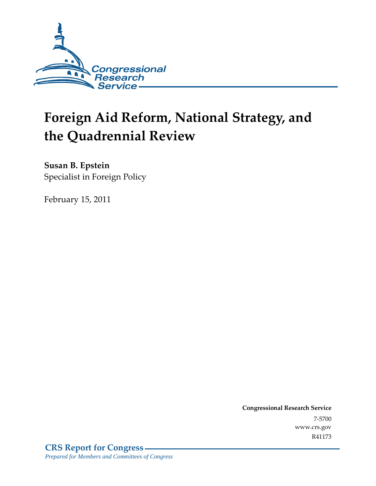

# **Foreign Aid Reform, National Strategy, and the Quadrennial Review**

**Susan B. Epstein**  Specialist in Foreign Policy

February 15, 2011

**Congressional Research Service** 7-5700 www.crs.gov R41173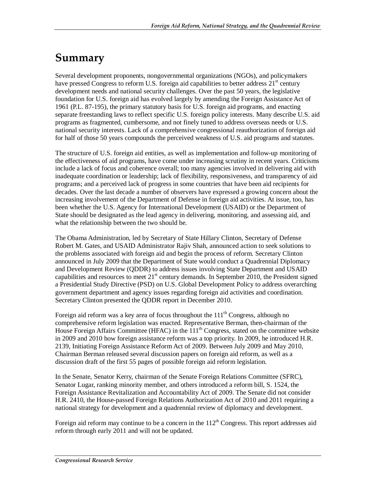# **Summary**

Several development proponents, nongovernmental organizations (NGOs), and policymakers have pressed Congress to reform U.S. foreign aid capabilities to better address  $21<sup>st</sup>$  century development needs and national security challenges. Over the past 50 years, the legislative foundation for U.S. foreign aid has evolved largely by amending the Foreign Assistance Act of 1961 (P.L. 87-195), the primary statutory basis for U.S. foreign aid programs, and enacting separate freestanding laws to reflect specific U.S. foreign policy interests. Many describe U.S. aid programs as fragmented, cumbersome, and not finely tuned to address overseas needs or U.S. national security interests. Lack of a comprehensive congressional reauthorization of foreign aid for half of those 50 years compounds the perceived weakness of U.S. aid programs and statutes.

The structure of U.S. foreign aid entities, as well as implementation and follow-up monitoring of the effectiveness of aid programs, have come under increasing scrutiny in recent years. Criticisms include a lack of focus and coherence overall; too many agencies involved in delivering aid with inadequate coordination or leadership; lack of flexibility, responsiveness, and transparency of aid programs; and a perceived lack of progress in some countries that have been aid recipients for decades. Over the last decade a number of observers have expressed a growing concern about the increasing involvement of the Department of Defense in foreign aid activities. At issue, too, has been whether the U.S. Agency for International Development (USAID) or the Department of State should be designated as the lead agency in delivering, monitoring, and assessing aid, and what the relationship between the two should be.

The Obama Administration, led by Secretary of State Hillary Clinton, Secretary of Defense Robert M. Gates, and USAID Administrator Rajiv Shah, announced action to seek solutions to the problems associated with foreign aid and begin the process of reform. Secretary Clinton announced in July 2009 that the Department of State would conduct a Quadrennial Diplomacy and Development Review (QDDR) to address issues involving State Department and USAID capabilities and resources to meet 21<sup>st</sup> century demands. In September 2010, the President signed a Presidential Study Directive (PSD) on U.S. Global Development Policy to address overarching government department and agency issues regarding foreign aid activities and coordination. Secretary Clinton presented the QDDR report in December 2010.

Foreign aid reform was a key area of focus throughout the  $111<sup>th</sup>$  Congress, although no comprehensive reform legislation was enacted. Representative Berman, then-chairman of the House Foreign Affairs Committee (HFAC) in the  $111<sup>th</sup>$  Congress, stated on the committee website in 2009 and 2010 how foreign assistance reform was a top priority. In 2009, he introduced H.R. 2139, Initiating Foreign Assistance Reform Act of 2009. Between July 2009 and May 2010, Chairman Berman released several discussion papers on foreign aid reform, as well as a discussion draft of the first 55 pages of possible foreign aid reform legislation.

In the Senate, Senator Kerry, chairman of the Senate Foreign Relations Committee (SFRC), Senator Lugar, ranking minority member, and others introduced a reform bill, S. 1524, the Foreign Assistance Revitalization and Accountability Act of 2009. The Senate did not consider H.R. 2410, the House-passed Foreign Relations Authorization Act of 2010 and 2011 requiring a national strategy for development and a quadrennial review of diplomacy and development.

Foreign aid reform may continue to be a concern in the 112<sup>th</sup> Congress. This report addresses aid reform through early 2011 and will not be updated.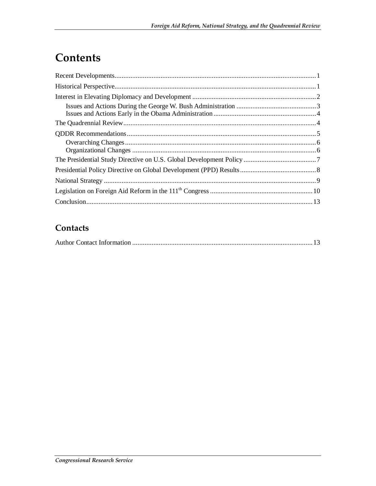# **Contents**

### **Contacts**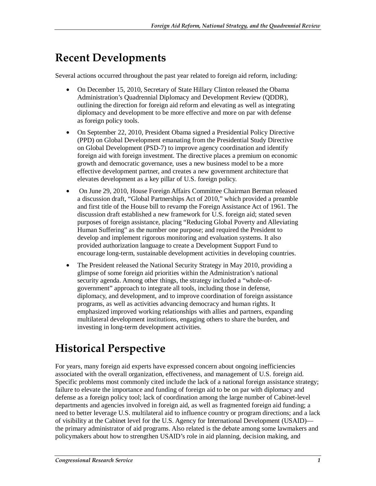# **Recent Developments**

Several actions occurred throughout the past year related to foreign aid reform, including:

- On December 15, 2010, Secretary of State Hillary Clinton released the Obama Administration's Quadrennial Diplomacy and Development Review (QDDR), outlining the direction for foreign aid reform and elevating as well as integrating diplomacy and development to be more effective and more on par with defense as foreign policy tools.
- On September 22, 2010, President Obama signed a Presidential Policy Directive (PPD) on Global Development emanating from the Presidential Study Directive on Global Development (PSD-7) to improve agency coordination and identify foreign aid with foreign investment. The directive places a premium on economic growth and democratic governance, uses a new business model to be a more effective development partner, and creates a new government architecture that elevates development as a key pillar of U.S. foreign policy.
- On June 29, 2010, House Foreign Affairs Committee Chairman Berman released a discussion draft, "Global Partnerships Act of 2010," which provided a preamble and first title of the House bill to revamp the Foreign Assistance Act of 1961. The discussion draft established a new framework for U.S. foreign aid; stated seven purposes of foreign assistance, placing "Reducing Global Poverty and Alleviating Human Suffering" as the number one purpose; and required the President to develop and implement rigorous monitoring and evaluation systems. It also provided authorization language to create a Development Support Fund to encourage long-term, sustainable development activities in developing countries.
- The President released the National Security Strategy in May 2010, providing a glimpse of some foreign aid priorities within the Administration's national security agenda. Among other things, the strategy included a "whole-ofgovernment" approach to integrate all tools, including those in defense, diplomacy, and development, and to improve coordination of foreign assistance programs, as well as activities advancing democracy and human rights. It emphasized improved working relationships with allies and partners, expanding multilateral development institutions, engaging others to share the burden, and investing in long-term development activities.

# **Historical Perspective**

For years, many foreign aid experts have expressed concern about ongoing inefficiencies associated with the overall organization, effectiveness, and management of U.S. foreign aid. Specific problems most commonly cited include the lack of a national foreign assistance strategy; failure to elevate the importance and funding of foreign aid to be on par with diplomacy and defense as a foreign policy tool; lack of coordination among the large number of Cabinet-level departments and agencies involved in foreign aid, as well as fragmented foreign aid funding; a need to better leverage U.S. multilateral aid to influence country or program directions; and a lack of visibility at the Cabinet level for the U.S. Agency for International Development (USAID) the primary administrator of aid programs. Also related is the debate among some lawmakers and policymakers about how to strengthen USAID's role in aid planning, decision making, and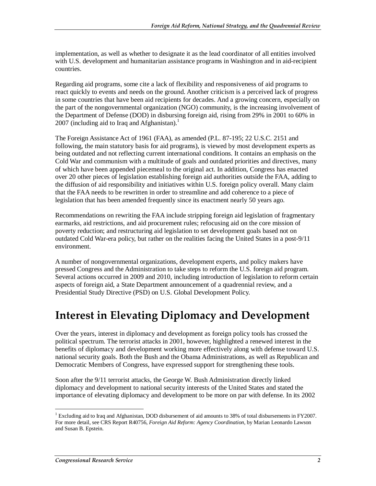implementation, as well as whether to designate it as the lead coordinator of all entities involved with U.S. development and humanitarian assistance programs in Washington and in aid-recipient countries.

Regarding aid programs, some cite a lack of flexibility and responsiveness of aid programs to react quickly to events and needs on the ground. Another criticism is a perceived lack of progress in some countries that have been aid recipients for decades. And a growing concern, especially on the part of the nongovernmental organization (NGO) community, is the increasing involvement of the Department of Defense (DOD) in disbursing foreign aid, rising from 29% in 2001 to 60% in 2007 (including aid to Iraq and Afghanistan). $1$ 

The Foreign Assistance Act of 1961 (FAA), as amended (P.L. 87-195; 22 U.S.C. 2151 and following, the main statutory basis for aid programs), is viewed by most development experts as being outdated and not reflecting current international conditions. It contains an emphasis on the Cold War and communism with a multitude of goals and outdated priorities and directives, many of which have been appended piecemeal to the original act. In addition, Congress has enacted over 20 other pieces of legislation establishing foreign aid authorities outside the FAA, adding to the diffusion of aid responsibility and initiatives within U.S. foreign policy overall. Many claim that the FAA needs to be rewritten in order to streamline and add coherence to a piece of legislation that has been amended frequently since its enactment nearly 50 years ago.

Recommendations on rewriting the FAA include stripping foreign aid legislation of fragmentary earmarks, aid restrictions, and aid procurement rules; refocusing aid on the core mission of poverty reduction; and restructuring aid legislation to set development goals based not on outdated Cold War-era policy, but rather on the realities facing the United States in a post-9/11 environment.

A number of nongovernmental organizations, development experts, and policy makers have pressed Congress and the Administration to take steps to reform the U.S. foreign aid program. Several actions occurred in 2009 and 2010, including introduction of legislation to reform certain aspects of foreign aid, a State Department announcement of a quadrennial review, and a Presidential Study Directive (PSD) on U.S. Global Development Policy.

### **Interest in Elevating Diplomacy and Development**

Over the years, interest in diplomacy and development as foreign policy tools has crossed the political spectrum. The terrorist attacks in 2001, however, highlighted a renewed interest in the benefits of diplomacy and development working more effectively along with defense toward U.S. national security goals. Both the Bush and the Obama Administrations, as well as Republican and Democratic Members of Congress, have expressed support for strengthening these tools.

Soon after the 9/11 terrorist attacks, the George W. Bush Administration directly linked diplomacy and development to national security interests of the United States and stated the importance of elevating diplomacy and development to be more on par with defense. In its 2002

-

<sup>&</sup>lt;sup>1</sup> Excluding aid to Iraq and Afghanistan, DOD disbursement of aid amounts to 38% of total disbursements in FY2007. For more detail, see CRS Report R40756, *Foreign Aid Reform: Agency Coordination*, by Marian Leonardo Lawson and Susan B. Epstein.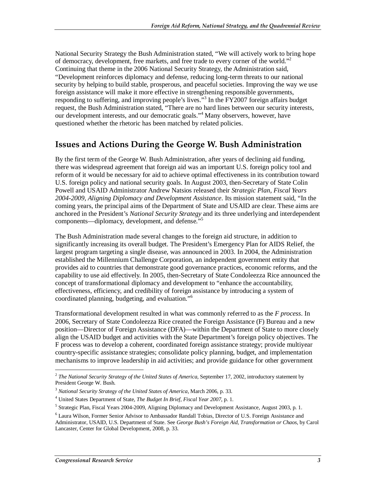National Security Strategy the Bush Administration stated, "We will actively work to bring hope of democracy, development, free markets, and free trade to every corner of the world."<sup>2</sup> Continuing that theme in the 2006 National Security Strategy, the Administration said, "Development reinforces diplomacy and defense, reducing long-term threats to our national security by helping to build stable, prosperous, and peaceful societies. Improving the way we use foreign assistance will make it more effective in strengthening responsible governments, responding to suffering, and improving people's lives."<sup>3</sup> In the FY2007 foreign affairs budget request, the Bush Administration stated, "There are no hard lines between our security interests, our development interests, and our democratic goals."<sup>4</sup> Many observers, however, have questioned whether the rhetoric has been matched by related policies.

#### **Issues and Actions During the George W. Bush Administration**

By the first term of the George W. Bush Administration, after years of declining aid funding, there was widespread agreement that foreign aid was an important U.S. foreign policy tool and reform of it would be necessary for aid to achieve optimal effectiveness in its contribution toward U.S. foreign policy and national security goals. In August 2003, then-Secretary of State Colin Powell and USAID Administrator Andrew Natsios released their *Strategic Plan, Fiscal Years 2004-2009, Aligning Diplomacy and Development Assistance*. Its mission statement said, "In the coming years, the principal aims of the Department of State and USAID are clear. These aims are anchored in the President's *National Security Strategy* and its three underlying and interdependent components—diplomacy, development, and defense."<sup>5</sup>

The Bush Administration made several changes to the foreign aid structure, in addition to significantly increasing its overall budget. The President's Emergency Plan for AIDS Relief, the largest program targeting a single disease, was announced in 2003. In 2004, the Administration established the Millennium Challenge Corporation, an independent government entity that provides aid to countries that demonstrate good governance practices, economic reforms, and the capability to use aid effectively. In 2005, then-Secretary of State Condoleezza Rice announced the concept of transformational diplomacy and development to "enhance the accountability, effectiveness, efficiency, and credibility of foreign assistance by introducing a system of coordinated planning, budgeting, and evaluation."<sup>6</sup>

Transformational development resulted in what was commonly referred to as the *F process*. In 2006, Secretary of State Condoleezza Rice created the Foreign Assistance (F) Bureau and a new position—Director of Foreign Assistance (DFA)—within the Department of State to more closely align the USAID budget and activities with the State Department's foreign policy objectives. The F process was to develop a coherent, coordinated foreign assistance strategy; provide multiyear country-specific assistance strategies; consolidate policy planning, budget, and implementation mechanisms to improve leadership in aid activities; and provide guidance for other government

<u>.</u>

<sup>&</sup>lt;sup>2</sup> The National Security Strategy of the United States of America, September 17, 2002, introductory statement by President George W. Bush.

<sup>3</sup> *National Security Strategy of the United States of America*, March 2006, p. 33. 4

United States Department of State, *The Budget In Brief, Fiscal Year 2007*, p. 1.

<sup>&</sup>lt;sup>5</sup> Strategic Plan, Fiscal Years 2004-2009, Aligning Diplomacy and Development Assistance, August 2003, p. 1.

<sup>&</sup>lt;sup>6</sup> Laura Wilson, Former Senior Advisor to Ambassador Randall Tobias, Director of U.S. Foreign Assistance and Administrator, USAID, U.S. Department of State. See *George Bush's Foreign Aid, Transformation or Chaos*, by Carol Lancaster, Center for Global Development, 2008, p. 33.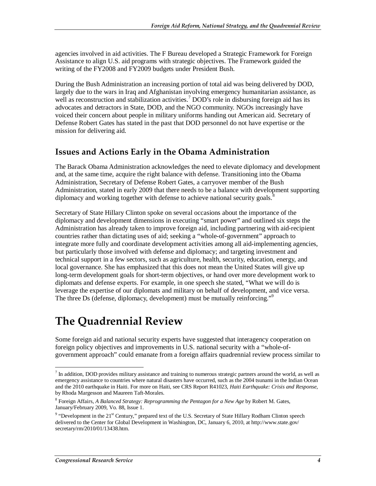agencies involved in aid activities. The F Bureau developed a Strategic Framework for Foreign Assistance to align U.S. aid programs with strategic objectives. The Framework guided the writing of the FY2008 and FY2009 budgets under President Bush.

During the Bush Administration an increasing portion of total aid was being delivered by DOD, largely due to the wars in Iraq and Afghanistan involving emergency humanitarian assistance, as well as reconstruction and stabilization activities.<sup>7</sup> DOD's role in disbursing foreign aid has its advocates and detractors in State, DOD, and the NGO community. NGOs increasingly have voiced their concern about people in military uniforms handing out American aid. Secretary of Defense Robert Gates has stated in the past that DOD personnel do not have expertise or the mission for delivering aid.

#### **Issues and Actions Early in the Obama Administration**

The Barack Obama Administration acknowledges the need to elevate diplomacy and development and, at the same time, acquire the right balance with defense. Transitioning into the Obama Administration, Secretary of Defense Robert Gates, a carryover member of the Bush Administration, stated in early 2009 that there needs to be a balance with development supporting diplomacy and working together with defense to achieve national security goals.<sup>8</sup>

Secretary of State Hillary Clinton spoke on several occasions about the importance of the diplomacy and development dimensions in executing "smart power" and outlined six steps the Administration has already taken to improve foreign aid, including partnering with aid-recipient countries rather than dictating uses of aid; seeking a "whole-of-government" approach to integrate more fully and coordinate development activities among all aid-implementing agencies, but particularly those involved with defense and diplomacy; and targeting investment and technical support in a few sectors, such as agriculture, health, security, education, energy, and local governance. She has emphasized that this does not mean the United States will give up long-term development goals for short-term objectives, or hand over more development work to diplomats and defense experts. For example, in one speech she stated, "What we will do is leverage the expertise of our diplomats and military on behalf of development, and vice versa. The three Ds (defense, diplomacy, development) must be mutually reinforcing."

### **The Quadrennial Review**

Some foreign aid and national security experts have suggested that interagency cooperation on foreign policy objectives and improvements in U.S. national security with a "whole-ofgovernment approach" could emanate from a foreign affairs quadrennial review process similar to

-

 $<sup>7</sup>$  In addition, DOD provides military assistance and training to numerous strategic partners around the world, as well as</sup> emergency assistance to countries where natural disasters have occurred, such as the 2004 tsunami in the Indian Ocean and the 2010 earthquake in Haiti. For more on Haiti, see CRS Report R41023, *Haiti Earthquake: Crisis and Response*, by Rhoda Margesson and Maureen Taft-Morales.

<sup>8</sup> Foreign Affairs, *A Balanced Strategy: Reprogramming the Pentagon for a New Age* by Robert M. Gates, January/February 2009, Vo. 88, Issue 1.

<sup>&</sup>lt;sup>9</sup> "Development in the 21<sup>st</sup> Century," prepared text of the U.S. Secretary of State Hillary Rodham Clinton speech delivered to the Center for Global Development in Washington, DC, January 6, 2010, at http://www.state.gov/ secretary/rm/2010/01/13438.htm.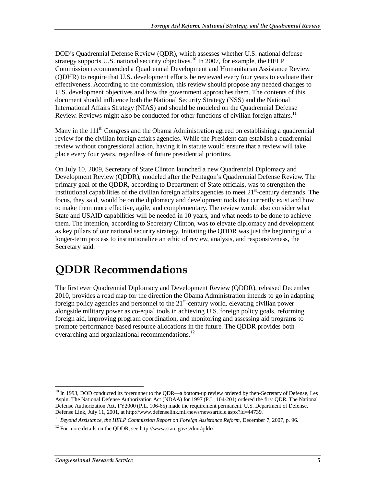DOD's Quadrennial Defense Review (QDR), which assesses whether U.S. national defense strategy supports U.S. national security objectives.<sup>10</sup> In 2007, for example, the HELP Commission recommended a Quadrennial Development and Humanitarian Assistance Review (QDHR) to require that U.S. development efforts be reviewed every four years to evaluate their effectiveness. According to the commission, this review should propose any needed changes to U.S. development objectives and how the government approaches them. The contents of this document should influence both the National Security Strategy (NSS) and the National International Affairs Strategy (NIAS) and should be modeled on the Quadrennial Defense Review. Reviews might also be conducted for other functions of civilian foreign affairs.<sup>11</sup>

Many in the 111<sup>th</sup> Congress and the Obama Administration agreed on establishing a quadrennial review for the civilian foreign affairs agencies. While the President can establish a quadrennial review without congressional action, having it in statute would ensure that a review will take place every four years, regardless of future presidential priorities.

On July 10, 2009, Secretary of State Clinton launched a new Quadrennial Diplomacy and Development Review (QDDR), modeled after the Pentagon's Quadrennial Defense Review. The primary goal of the QDDR, according to Department of State officials, was to strengthen the institutional capabilities of the civilian foreign affairs agencies to meet  $21<sup>st</sup>$ -century demands. The focus, they said, would be on the diplomacy and development tools that currently exist and how to make them more effective, agile, and complementary. The review would also consider what State and USAID capabilities will be needed in 10 years, and what needs to be done to achieve them. The intention, according to Secretary Clinton, was to elevate diplomacy and development as key pillars of our national security strategy. Initiating the QDDR was just the beginning of a longer-term process to institutionalize an ethic of review, analysis, and responsiveness, the Secretary said.

### **QDDR Recommendations**

The first ever Quadrennial Diplomacy and Development Review (QDDR), released December 2010, provides a road map for the direction the Obama Administration intends to go in adapting foreign policy agencies and personnel to the  $21<sup>st</sup>$ -century world, elevating civilian power alongside military power as co-equal tools in achieving U.S. foreign policy goals, reforming foreign aid, improving program coordination, and monitoring and assessing aid programs to promote performance-based resource allocations in the future. The QDDR provides both overarching and organizational recommendations.<sup>12</sup>

<sup>-</sup><sup>10</sup> In 1993, DOD conducted its forerunner to the QDR—a bottom-up review ordered by then-Secretary of Defense, Les Aspin. The National Defense Authorization Act (NDAA) for 1997 (P.L. 104-201) ordered the first QDR. The National Defense Authorization Act, FY2000 (P.L. 106-65) made the requirement permanent. U.S. Department of Defense, Defense Link, July 11, 2001, at http://www.defenselink.mil/news/newsarticle.aspx?id=44739.

 $11$  Beyond Assistance, the HELP Commission Report on Foreign Assistance Reform, December 7, 2007, p. 96.

 $12$  For more details on the QDDR, see http://www.state.gov/s/dmr/qddr/.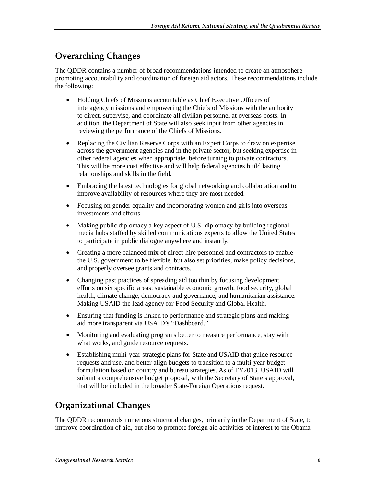### **Overarching Changes**

The QDDR contains a number of broad recommendations intended to create an atmosphere promoting accountability and coordination of foreign aid actors. These recommendations include the following:

- Holding Chiefs of Missions accountable as Chief Executive Officers of interagency missions and empowering the Chiefs of Missions with the authority to direct, supervise, and coordinate all civilian personnel at overseas posts. In addition, the Department of State will also seek input from other agencies in reviewing the performance of the Chiefs of Missions.
- Replacing the Civilian Reserve Corps with an Expert Corps to draw on expertise across the government agencies and in the private sector, but seeking expertise in other federal agencies when appropriate, before turning to private contractors. This will be more cost effective and will help federal agencies build lasting relationships and skills in the field.
- Embracing the latest technologies for global networking and collaboration and to improve availability of resources where they are most needed.
- Focusing on gender equality and incorporating women and girls into overseas investments and efforts.
- Making public diplomacy a key aspect of U.S. diplomacy by building regional media hubs staffed by skilled communications experts to allow the United States to participate in public dialogue anywhere and instantly.
- Creating a more balanced mix of direct-hire personnel and contractors to enable the U.S. government to be flexible, but also set priorities, make policy decisions, and properly oversee grants and contracts.
- Changing past practices of spreading aid too thin by focusing development efforts on six specific areas: sustainable economic growth, food security, global health, climate change, democracy and governance, and humanitarian assistance. Making USAID the lead agency for Food Security and Global Health.
- Ensuring that funding is linked to performance and strategic plans and making aid more transparent via USAID's "Dashboard."
- Monitoring and evaluating programs better to measure performance, stay with what works, and guide resource requests.
- Establishing multi-year strategic plans for State and USAID that guide resource requests and use, and better align budgets to transition to a multi-year budget formulation based on country and bureau strategies. As of FY2013, USAID will submit a comprehensive budget proposal, with the Secretary of State's approval, that will be included in the broader State-Foreign Operations request.

#### **Organizational Changes**

The QDDR recommends numerous structural changes, primarily in the Department of State, to improve coordination of aid, but also to promote foreign aid activities of interest to the Obama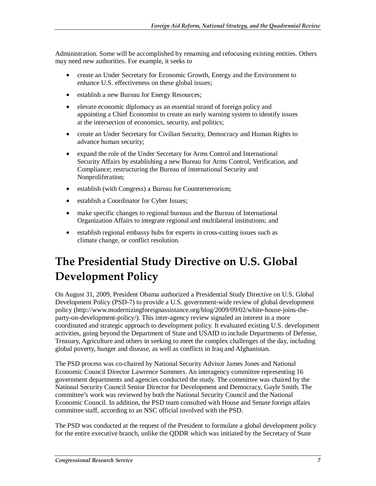Administration. Some will be accomplished by renaming and refocusing existing entities. Others may need new authorities. For example, it seeks to

- create an Under Secretary for Economic Growth, Energy and the Environment to enhance U.S. effectiveness on these global issues;
- establish a new Bureau for Energy Resources;
- elevate economic diplomacy as an essential strand of foreign policy and appointing a Chief Economist to create an early warning system to identify issues at the intersection of economics, security, and politics;
- create an Under Secretary for Civilian Security, Democracy and Human Rights to advance human security;
- expand the role of the Under Secretary for Arms Control and International Security Affairs by establishing a new Bureau for Arms Control, Verification, and Compliance; restructuring the Bureau of international Security and Nonproliferation;
- establish (with Congress) a Bureau for Counterterrorism;
- establish a Coordinator for Cyber Issues;
- make specific changes to regional bureaus and the Bureau of International Organization Affairs to integrate regional and multilateral institutions; and
- establish regional embassy hubs for experts in cross-cutting issues such as climate change, or conflict resolution.

# **The Presidential Study Directive on U.S. Global Development Policy**

On August 31, 2009, President Obama authorized a Presidential Study Directive on U.S. Global Development Policy (PSD-7) to provide a U.S. government-wide review of global development policy (http://www.modernizingforeignassistance.org/blog/2009/09/02/white-house-joins-theparty-on-development-policy/). This inter-agency review signaled an interest in a more coordinated and strategic approach to development policy. It evaluated existing U.S. development activities, going beyond the Department of State and USAID to include Departments of Defense, Treasury, Agriculture and others in seeking to meet the complex challenges of the day, including global poverty, hunger and disease, as well as conflicts in Iraq and Afghanistan.

The PSD process was co-chaired by National Security Advisor James Jones and National Economic Council Director Lawrence Summers. An interagency committee representing 16 government departments and agencies conducted the study. The committee was chaired by the National Security Council Senior Director for Development and Democracy, Gayle Smith. The committee's work was reviewed by both the National Security Council and the National Economic Council. In addition, the PSD team consulted with House and Senate foreign affairs committee staff, according to an NSC official involved with the PSD.

The PSD was conducted at the request of the President to formulate a global development policy for the entire executive branch, unlike the QDDR which was initiated by the Secretary of State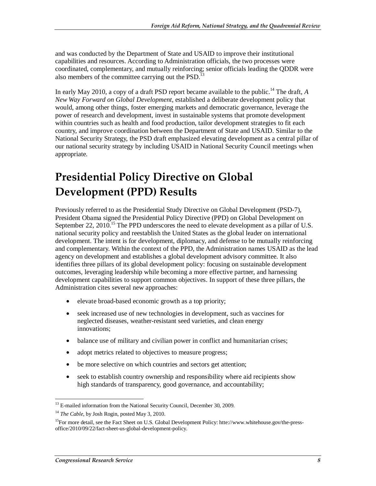and was conducted by the Department of State and USAID to improve their institutional capabilities and resources. According to Administration officials, the two processes were coordinated, complementary, and mutually reinforcing; senior officials leading the QDDR were also members of the committee carrying out the  $PSD<sup>13</sup>$ 

In early May 2010, a copy of a draft PSD report became available to the public.14 The draft, *A New Way Forward on Global Development*, established a deliberate development policy that would, among other things, foster emerging markets and democratic governance, leverage the power of research and development, invest in sustainable systems that promote development within countries such as health and food production, tailor development strategies to fit each country, and improve coordination between the Department of State and USAID. Similar to the National Security Strategy, the PSD draft emphasized elevating development as a central pillar of our national security strategy by including USAID in National Security Council meetings when appropriate.

# **Presidential Policy Directive on Global Development (PPD) Results**

Previously referred to as the Presidential Study Directive on Global Development (PSD-7), President Obama signed the Presidential Policy Directive (PPD) on Global Development on September 22, 2010.<sup>15</sup> The PPD underscores the need to elevate development as a pillar of U.S. national security policy and reestablish the United States as the global leader on international development. The intent is for development, diplomacy, and defense to be mutually reinforcing and complementary. Within the context of the PPD, the Administration names USAID as the lead agency on development and establishes a global development advisory committee. It also identifies three pillars of its global development policy: focusing on sustainable development outcomes, leveraging leadership while becoming a more effective partner, and harnessing development capabilities to support common objectives. In support of these three pillars, the Administration cites several new approaches:

- elevate broad-based economic growth as a top priority;
- seek increased use of new technologies in development, such as vaccines for neglected diseases, weather-resistant seed varieties, and clean energy innovations;
- balance use of military and civilian power in conflict and humanitarian crises;
- adopt metrics related to objectives to measure progress;
- be more selective on which countries and sectors get attention;
- seek to establish country ownership and responsibility where aid recipients show high standards of transparency, good governance, and accountability;

<sup>-</sup><sup>13</sup> E-mailed information from the National Security Council, December 30, 2009.

<sup>&</sup>lt;sup>14</sup> *The Cable*, by Josh Rogin, posted May 3, 2010.

<sup>&</sup>lt;sup>15</sup>For more detail, see the Fact Sheet on U.S. Global Development Policy: htte://www.whitehouse.gov/the-pressoffice/2010/09/22/fact-sheet-us-global-development-policy.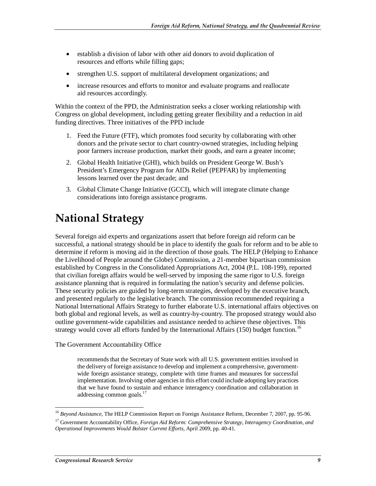- establish a division of labor with other aid donors to avoid duplication of resources and efforts while filling gaps;
- strengthen U.S. support of multilateral development organizations; and
- increase resources and efforts to monitor and evaluate programs and reallocate aid resources accordingly.

Within the context of the PPD, the Administration seeks a closer working relationship with Congress on global development, including getting greater flexibility and a reduction in aid funding directives. Three initiatives of the PPD include

- 1. Feed the Future (FTF), which promotes food security by collaborating with other donors and the private sector to chart country-owned strategies, including helping poor farmers increase production, market their goods, and earn a greater income;
- 2. Global Health Initiative (GHI), which builds on President George W. Bush's President's Emergency Program for AIDs Relief (PEPFAR) by implementing lessons learned over the past decade; and
- 3. Global Climate Change Initiative (GCCI), which will integrate climate change considerations into foreign assistance programs.

# **National Strategy**

Several foreign aid experts and organizations assert that before foreign aid reform can be successful, a national strategy should be in place to identify the goals for reform and to be able to determine if reform is moving aid in the direction of those goals. The HELP (Helping to Enhance the Livelihood of People around the Globe) Commission, a 21-member bipartisan commission established by Congress in the Consolidated Appropriations Act, 2004 (P.L. 108-199), reported that civilian foreign affairs would be well-served by imposing the same rigor to U.S. foreign assistance planning that is required in formulating the nation's security and defense policies. These security policies are guided by long-term strategies, developed by the executive branch, and presented regularly to the legislative branch. The commission recommended requiring a National International Affairs Strategy to further elaborate U.S. international affairs objectives on both global and regional levels, as well as country-by-country. The proposed strategy would also outline government-wide capabilities and assistance needed to achieve these objectives. This strategy would cover all efforts funded by the International Affairs  $(150)$  budget function.<sup>16</sup>

The Government Accountability Office

recommends that the Secretary of State work with all U.S. government entities involved in the delivery of foreign assistance to develop and implement a comprehensive, governmentwide foreign assistance strategy, complete with time frames and measures for successful implementation. Involving other agencies in this effort could include adopting key practices that we have found to sustain and enhance interagency coordination and collaboration in addressing common goals.<sup>17</sup>

<sup>-</sup><sup>16</sup> *Beyond Assistance,* The HELP Commission Report on Foreign Assistance Reform, December 7, 2007, pp. 95*-*96.

<sup>17</sup> Government Accountability Office, *Foreign Aid Reform: Comprehensive Strategy, Interagency Coordination, and Operational Improvements Would Bolster Current Efforts,* April 2009, pp. 40-41.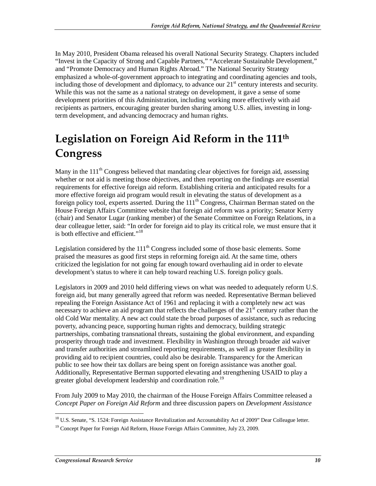In May 2010, President Obama released his overall National Security Strategy. Chapters included "Invest in the Capacity of Strong and Capable Partners," "Accelerate Sustainable Development," and "Promote Democracy and Human Rights Abroad." The National Security Strategy emphasized a whole-of-government approach to integrating and coordinating agencies and tools, including those of development and diplomacy, to advance our 21<sup>st</sup> century interests and security. While this was not the same as a national strategy on development, it gave a sense of some development priorities of this Administration, including working more effectively with aid recipients as partners, encouraging greater burden sharing among U.S. allies, investing in longterm development, and advancing democracy and human rights.

# **Legislation on Foreign Aid Reform in the 111th Congress**

Many in the  $111<sup>th</sup>$  Congress believed that mandating clear objectives for foreign aid, assessing whether or not aid is meeting those objectives, and then reporting on the findings are essential requirements for effective foreign aid reform. Establishing criteria and anticipated results for a more effective foreign aid program would result in elevating the status of development as a foreign policy tool, experts asserted. During the  $111<sup>th</sup>$  Congress, Chairman Berman stated on the House Foreign Affairs Committee website that foreign aid reform was a priority; Senator Kerry (chair) and Senator Lugar (ranking member) of the Senate Committee on Foreign Relations, in a dear colleague letter, said: "In order for foreign aid to play its critical role, we must ensure that it is both effective and efficient."<sup>18</sup>

Legislation considered by the  $111<sup>th</sup>$  Congress included some of those basic elements. Some praised the measures as good first steps in reforming foreign aid. At the same time, others criticized the legislation for not going far enough toward overhauling aid in order to elevate development's status to where it can help toward reaching U.S. foreign policy goals.

Legislators in 2009 and 2010 held differing views on what was needed to adequately reform U.S. foreign aid, but many generally agreed that reform was needed. Representative Berman believed repealing the Foreign Assistance Act of 1961 and replacing it with a completely new act was necessary to achieve an aid program that reflects the challenges of the  $21<sup>st</sup>$  century rather than the old Cold War mentality. A new act could state the broad purposes of assistance, such as reducing poverty, advancing peace, supporting human rights and democracy, building strategic partnerships, combating transnational threats, sustaining the global environment, and expanding prosperity through trade and investment. Flexibility in Washington through broader aid waiver and transfer authorities and streamlined reporting requirements, as well as greater flexibility in providing aid to recipient countries, could also be desirable. Transparency for the American public to see how their tax dollars are being spent on foreign assistance was another goal. Additionally, Representative Berman supported elevating and strengthening USAID to play a greater global development leadership and coordination role.<sup>19</sup>

From July 2009 to May 2010, the chairman of the House Foreign Affairs Committee released a *Concept Paper on Foreign Aid Reform* and three discussion papers on *Development Assistance* 

 $\frac{1}{1}$ <sup>18</sup> U.S. Senate, "S. 1524: Foreign Assistance Revitalization and Accountability Act of 2009" Dear Colleague letter.

 $19$  Concept Paper for Foreign Aid Reform, House Foreign Affairs Committee, July 23, 2009.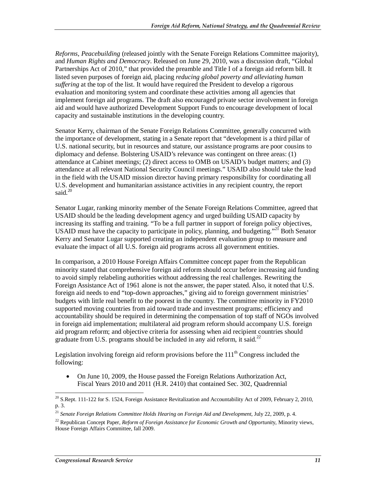*Reforms*, *Peacebuilding* (released jointly with the Senate Foreign Relations Committee majority), and *Human Rights and Democracy*. Released on June 29, 2010, was a discussion draft, "Global Partnerships Act of 2010," that provided the preamble and Title I of a foreign aid reform bill. It listed seven purposes of foreign aid, placing *reducing global poverty and alleviating human suffering* at the top of the list. It would have required the President to develop a rigorous evaluation and monitoring system and coordinate these activities among all agencies that implement foreign aid programs. The draft also encouraged private sector involvement in foreign aid and would have authorized Development Support Funds to encourage development of local capacity and sustainable institutions in the developing country.

Senator Kerry, chairman of the Senate Foreign Relations Committee, generally concurred with the importance of development, stating in a Senate report that "development is a third pillar of U.S. national security, but in resources and stature, our assistance programs are poor cousins to diplomacy and defense. Bolstering USAID's relevance was contingent on three areas: (1) attendance at Cabinet meetings; (2) direct access to OMB on USAID's budget matters; and (3) attendance at all relevant National Security Council meetings." USAID also should take the lead in the field with the USAID mission director having primary responsibility for coordinating all U.S. development and humanitarian assistance activities in any recipient country, the report said.<sup>20</sup>

Senator Lugar, ranking minority member of the Senate Foreign Relations Committee, agreed that USAID should be the leading development agency and urged building USAID capacity by increasing its staffing and training. "To be a full partner in support of foreign policy objectives, USAID must have the capacity to participate in policy, planning, and budgeting."<sup>21</sup> Both Senator Kerry and Senator Lugar supported creating an independent evaluation group to measure and evaluate the impact of all U.S. foreign aid programs across all government entities.

In comparison, a 2010 House Foreign Affairs Committee concept paper from the Republican minority stated that comprehensive foreign aid reform should occur before increasing aid funding to avoid simply relabeling authorities without addressing the real challenges. Rewriting the Foreign Assistance Act of 1961 alone is not the answer, the paper stated. Also, it noted that U.S. foreign aid needs to end "top-down approaches," giving aid to foreign government ministries' budgets with little real benefit to the poorest in the country. The committee minority in FY2010 supported moving countries from aid toward trade and investment programs; efficiency and accountability should be required in determining the compensation of top staff of NGOs involved in foreign aid implementation; multilateral aid program reform should accompany U.S. foreign aid program reform; and objective criteria for assessing when aid recipient countries should graduate from U.S. programs should be included in any aid reform, it said.<sup>22</sup>

Legislation involving foreign aid reform provisions before the  $111<sup>th</sup>$  Congress included the following:

• On June 10, 2009, the House passed the Foreign Relations Authorization Act, Fiscal Years 2010 and 2011 (H.R. 2410) that contained Sec. 302, Quadrennial

<sup>-</sup> $20$  S.Rept. 111-122 for S. 1524, Foreign Assistance Revitalization and Accountability Act of 2009, February 2, 2010, p. 3.

<sup>21</sup> *Senate Foreign Relations Committee Holds Hearing on Foreign Aid and Development*, July 22, 2009, p. 4.

<sup>&</sup>lt;sup>22</sup> Republican Concept Paper, *Reform of Foreign Assistance for Economic Growth and Opportunity*, Minority views, House Foreign Affairs Committee, fall 2009.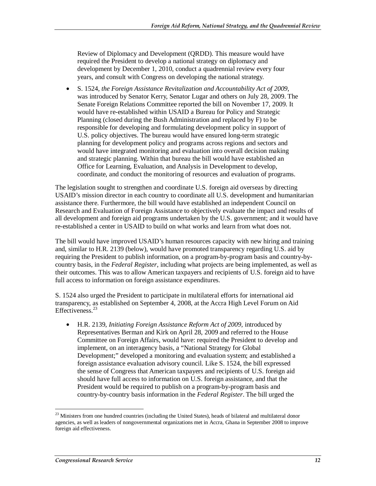Review of Diplomacy and Development (QRDD). This measure would have required the President to develop a national strategy on diplomacy and development by December 1, 2010, conduct a quadrennial review every four years, and consult with Congress on developing the national strategy.

• S. 1524, *the Foreign Assistance Revitalization and Accountability Act of 2009,*  was introduced by Senator Kerry, Senator Lugar and others on July 28, 2009. The Senate Foreign Relations Committee reported the bill on November 17, 2009. It would have re-established within USAID a Bureau for Policy and Strategic Planning (closed during the Bush Administration and replaced by F) to be responsible for developing and formulating development policy in support of U.S. policy objectives. The bureau would have ensured long-term strategic planning for development policy and programs across regions and sectors and would have integrated monitoring and evaluation into overall decision making and strategic planning. Within that bureau the bill would have established an Office for Learning, Evaluation, and Analysis in Development to develop, coordinate, and conduct the monitoring of resources and evaluation of programs.

The legislation sought to strengthen and coordinate U.S. foreign aid overseas by directing USAID's mission director in each country to coordinate all U.S. development and humanitarian assistance there. Furthermore, the bill would have established an independent Council on Research and Evaluation of Foreign Assistance to objectively evaluate the impact and results of all development and foreign aid programs undertaken by the U.S. government; and it would have re-established a center in USAID to build on what works and learn from what does not.

The bill would have improved USAID's human resources capacity with new hiring and training and, similar to H.R. 2139 (below), would have promoted transparency regarding U.S. aid by requiring the President to publish information, on a program-by-program basis and country-bycountry basis, in the *Federal Register*, including what projects are being implemented, as well as their outcomes. This was to allow American taxpayers and recipients of U.S. foreign aid to have full access to information on foreign assistance expenditures.

S. 1524 also urged the President to participate in multilateral efforts for international aid transparency, as established on September 4, 2008, at the Accra High Level Forum on Aid Effectiveness.<sup>23</sup>

• H.R. 2139, *Initiating Foreign Assistance Reform Act of 2009,* introduced by Representatives Berman and Kirk on April 28, 2009 and referred to the House Committee on Foreign Affairs, would have: required the President to develop and implement, on an interagency basis, a "National Strategy for Global Development;" developed a monitoring and evaluation system; and established a foreign assistance evaluation advisory council. Like S. 1524, the bill expressed the sense of Congress that American taxpayers and recipients of U.S. foreign aid should have full access to information on U.S. foreign assistance, and that the President would be required to publish on a program-by-program basis and country-by-country basis information in the *Federal Register*. The bill urged the

-

<sup>&</sup>lt;sup>23</sup> Ministers from one hundred countries (including the United States), heads of bilateral and multilateral donor agencies, as well as leaders of nongovernmental organizations met in Accra, Ghana in September 2008 to improve foreign aid effectiveness.